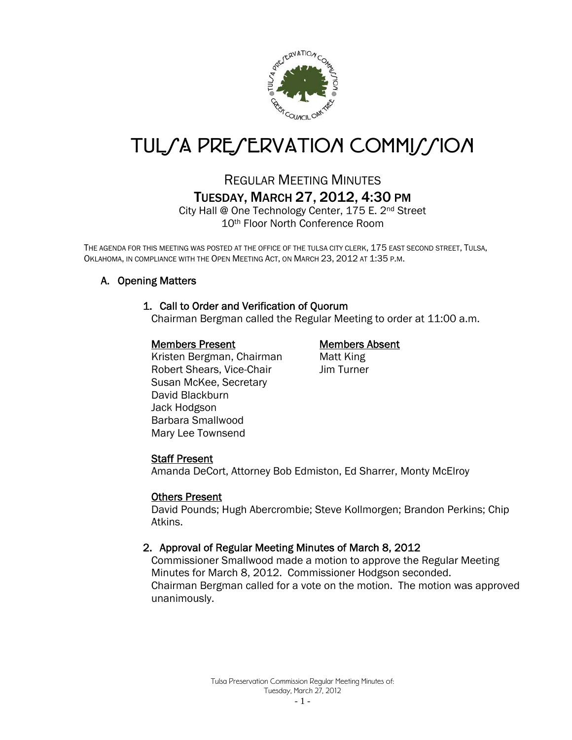

# TUL*SA PRESERVATION COMMISSION*

# REGULAR MEETING MINUTES TUESDAY, MARCH 27, 2012, 4:30 PM

City Hall @ One Technology Center, 175 E. 2nd Street 10th Floor North Conference Room

THE AGENDA FOR THIS MEETING WAS POSTED AT THE OFFICE OF THE TULSA CITY CLERK, 175 EAST SECOND STREET, TULSA, OKLAHOMA, IN COMPLIANCE WITH THE OPEN MEETING ACT, ON MARCH 23, 2012 AT 1:35 P.M.

# A. Opening Matters

# 1. Call to Order and Verification of Quorum

Chairman Bergman called the Regular Meeting to order at 11:00 a.m.

#### Members Present Members Absent

Kristen Bergman, Chairman Matt King Robert Shears, Vice-Chair Jim Turner Susan McKee, Secretary David Blackburn Jack Hodgson Barbara Smallwood Mary Lee Townsend

# Staff Present

Amanda DeCort, Attorney Bob Edmiston, Ed Sharrer, Monty McElroy

#### Others Present

David Pounds; Hugh Abercrombie; Steve Kollmorgen; Brandon Perkins; Chip Atkins.

# 2. Approval of Regular Meeting Minutes of March 8, 2012

Commissioner Smallwood made a motion to approve the Regular Meeting Minutes for March 8, 2012. Commissioner Hodgson seconded. Chairman Bergman called for a vote on the motion. The motion was approved unanimously.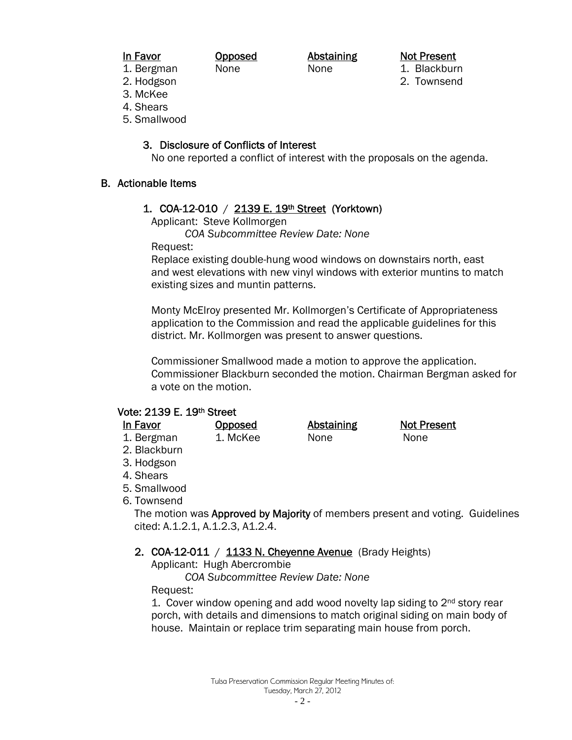#### In Favor **Opposed** Abstaining Not Present

1. Bergman None None None 1. Blackburn

- 2. Hodgson 2. Townsend
- 
- 3. McKee
- 4. Shears
- 5. Smallwood

# 3. Disclosure of Conflicts of Interest

No one reported a conflict of interest with the proposals on the agenda.

# B. Actionable Items

# 1. COA-12-010 / 2139 E. 19th Street (Yorktown)

Applicant: Steve Kollmorgen

 *COA Subcommittee Review Date: None*

Request:

Replace existing double-hung wood windows on downstairs north, east and west elevations with new vinyl windows with exterior muntins to match existing sizes and muntin patterns.

Monty McElroy presented Mr. Kollmorgen's Certificate of Appropriateness application to the Commission and read the applicable guidelines for this district. Mr. Kollmorgen was present to answer questions.

Commissioner Smallwood made a motion to approve the application. Commissioner Blackburn seconded the motion. Chairman Bergman asked for a vote on the motion.

# Vote: 2139 E. 19th Street

| In Favor     | Opposed  | <b>Abstaining</b> | <b>Not Present</b> |
|--------------|----------|-------------------|--------------------|
| 1. Bergman   | 1. McKee | None              | <b>None</b>        |
| 2. Blackburn |          |                   |                    |
| 3. Hodgson   |          |                   |                    |
| 4 Shears     |          |                   |                    |

- 4. Shears
- 5. Smallwood
- 6. Townsend

The motion was Approved by Majority of members present and voting. Guidelines cited: A.1.2.1, A.1.2.3, A1.2.4.

# 2. COA-12-011 / 1133 N. Cheyenne Avenue (Brady Heights)

Applicant: Hugh Abercrombie

*COA Subcommittee Review Date: None* 

Request:

1. Cover window opening and add wood novelty lap siding to 2nd story rear porch, with details and dimensions to match original siding on main body of house. Maintain or replace trim separating main house from porch.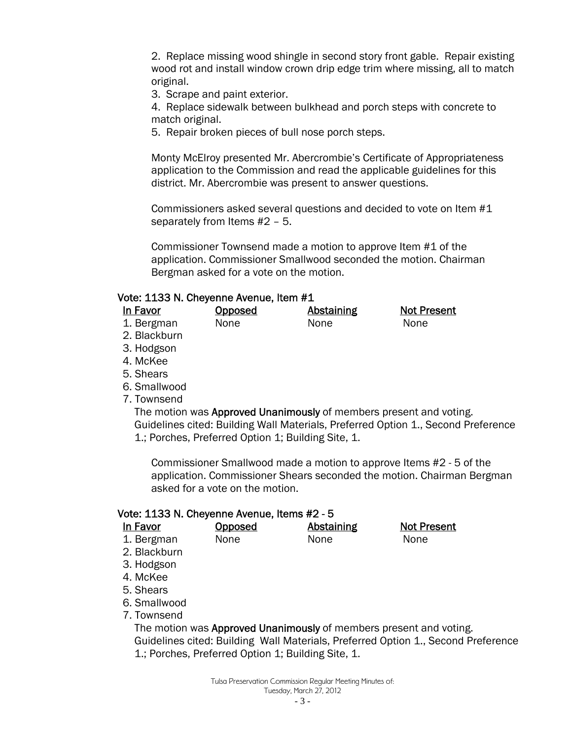2. Replace missing wood shingle in second story front gable. Repair existing wood rot and install window crown drip edge trim where missing, all to match original.

3. Scrape and paint exterior.

4. Replace sidewalk between bulkhead and porch steps with concrete to match original.

5. Repair broken pieces of bull nose porch steps.

Monty McElroy presented Mr. Abercrombie's Certificate of Appropriateness application to the Commission and read the applicable guidelines for this district. Mr. Abercrombie was present to answer questions.

Commissioners asked several questions and decided to vote on Item #1 separately from Items #2 – 5.

Commissioner Townsend made a motion to approve Item #1 of the application. Commissioner Smallwood seconded the motion. Chairman Bergman asked for a vote on the motion.

### Vote: 1133 N. Cheyenne Avenue, Item #1

| In Favor     | <b>Opposed</b> | <b>Abstaining</b> | <b>Not Present</b> |
|--------------|----------------|-------------------|--------------------|
| 1. Bergman   | None           | <b>None</b>       | <b>None</b>        |
| 2. Blackburn |                |                   |                    |

- 3. Hodgson
- 4. McKee
- 5. Shears
- 6. Smallwood
- 7. Townsend

The motion was Approved Unanimously of members present and voting. Guidelines cited: Building Wall Materials, Preferred Option 1., Second Preference 1.; Porches, Preferred Option 1; Building Site, 1.

Commissioner Smallwood made a motion to approve Items #2 - 5 of the application. Commissioner Shears seconded the motion. Chairman Bergman asked for a vote on the motion.

# Vote: 1133 N. Cheyenne Avenue, Items #2 - 5

| In Favor     | Opposed | <b>Abstaining</b> | <b>Not Present</b> |
|--------------|---------|-------------------|--------------------|
| 1. Bergman   | None    | None              | <b>None</b>        |
| 2. Blackburn |         |                   |                    |

- 3. Hodgson
- 4. McKee
- 5. Shears
- 6. Smallwood
- 7. Townsend

The motion was Approved Unanimously of members present and voting. Guidelines cited: Building Wall Materials, Preferred Option 1., Second Preference 1.; Porches, Preferred Option 1; Building Site, 1.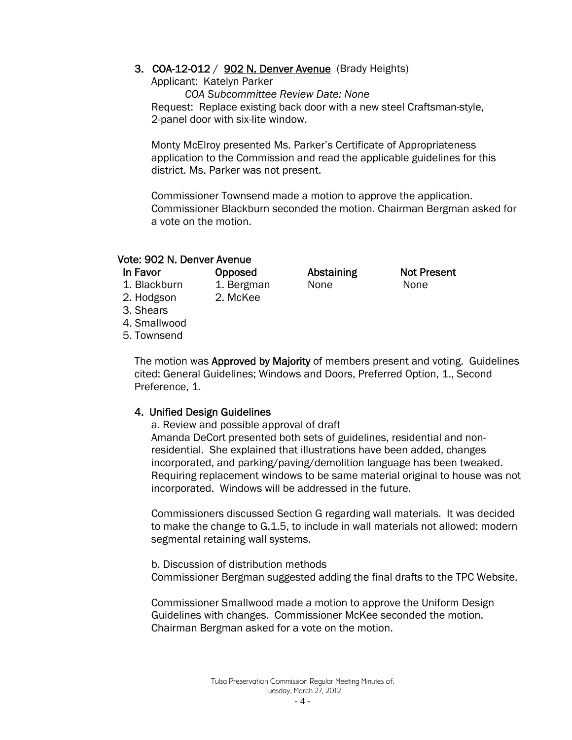#### 3. COA-12-012 / 902 N. Denver Avenue (Brady Heights)

Applicant: Katelyn Parker

 *COA Subcommittee Review Date: None*  **Request: Replace existing back door with a new steel Craftsman-style,** 2-panel door with six-lite window.

 Monty McElroy presented Ms. Parker's Certificate of Appropriateness application to the Commission and read the applicable guidelines for this district. Ms. Parker was not present.

Commissioner Townsend made a motion to approve the application. Commissioner Blackburn seconded the motion. Chairman Bergman asked for a vote on the motion.

**Opposed Abstaining Not Present** 

#### Vote: 902 N. Denver Avenue

| In Favor     | Opposed    | <b>Abstaining</b> | Not Pr |
|--------------|------------|-------------------|--------|
| 1. Blackburn | 1. Bergman | None              | None   |

- 
- 2. Hodgson 2. McKee
- 3. Shears

4. Smallwood

5. Townsend

The motion was Approved by Majority of members present and voting. Guidelines cited: General Guidelines; Windows and Doors, Preferred Option, 1., Second Preference, 1.

#### 4. Unified Design Guidelines

 a. Review and possible approval of draft Amanda DeCort presented both sets of guidelines, residential and nonresidential. She explained that illustrations have been added, changes incorporated, and parking/paving/demolition language has been tweaked. Requiring replacement windows to be same material original to house was not incorporated. Windows will be addressed in the future.

 Commissioners discussed Section G regarding wall materials. It was decided to make the change to G.1.5, to include in wall materials not allowed: modern segmental retaining wall systems.

 b. Discussion of distribution methods Commissioner Bergman suggested adding the final drafts to the TPC Website.

Commissioner Smallwood made a motion to approve the Uniform Design Guidelines with changes. Commissioner McKee seconded the motion. Chairman Bergman asked for a vote on the motion.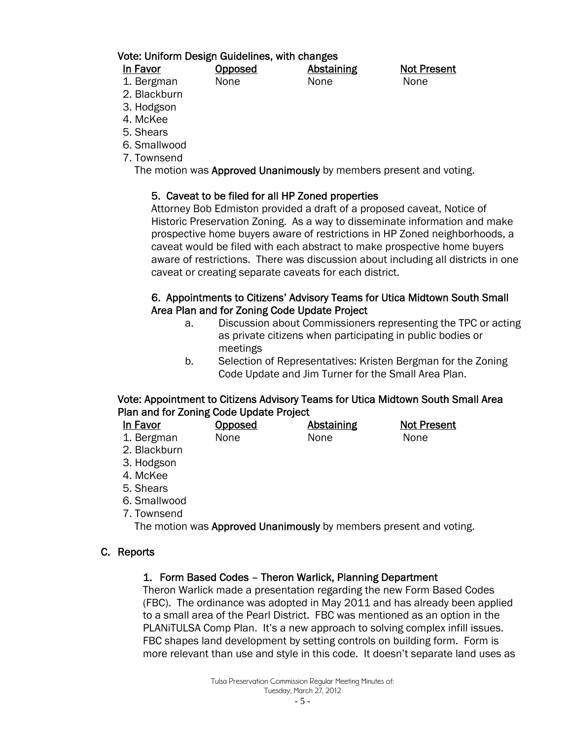### Vote: Uniform Design Guidelines, with changes

| ١r<br>vп<br>п. |
|----------------|
|----------------|

**Opposed Abstaining Not Present** 

- 1. Bergman None None None 2. Blackburn
	-
- 3. Hodgson
- 4. McKee
- 5. Shears
- 6. Smallwood
- 7. Townsend

The motion was **Approved Unanimously** by members present and voting.

# 5. Caveat to be filed for all HP Zoned properties

Attorney Bob Edmiston provided a draft of a proposed caveat, Notice of Historic Preservation Zoning. As a way to disseminate information and make prospective home buyers aware of restrictions in HP Zoned neighborhoods, a caveat would be filed with each abstract to make prospective home buyers aware of restrictions. There was discussion about including all districts in one caveat or creating separate caveats for each district.

# 6. Appointments to Citizens' Advisory Teams for Utica Midtown South Small Area Plan and for Zoning Code Update Project

- a. Discussion about Commissioners representing the TPC or acting as private citizens when participating in public bodies or meetings
- b. Selection of Representatives: Kristen Bergman for the Zoning Code Update and Jim Turner for the Small Area Plan.

# Vote: Appointment to Citizens Advisory Teams for Utica Midtown South Small Area Plan and for Zoning Code Update Project

| In Favor     | Opposed     | Abstaining  | <b>Not Present</b> |
|--------------|-------------|-------------|--------------------|
| 1. Bergman   | <b>None</b> | <b>None</b> | <b>None</b>        |
| 2. Blackburn |             |             |                    |
| 3. Hodgson   |             |             |                    |

- $\mathcal{B}$ .
- 4. McKee
- 5. Shears
- 6. Smallwood
- 7. Townsend

The motion was Approved Unanimously by members present and voting.

# C. Reports

# 1. Form Based Codes – Theron Warlick, Planning Department

Theron Warlick made a presentation regarding the new Form Based Codes (FBC). The ordinance was adopted in May 2011 and has already been applied to a small area of the Pearl District. FBC was mentioned as an option in the PLANiTULSA Comp Plan. It's a new approach to solving complex infill issues. FBC shapes land development by setting controls on building form. Form is more relevant than use and style in this code. It doesn't separate land uses as